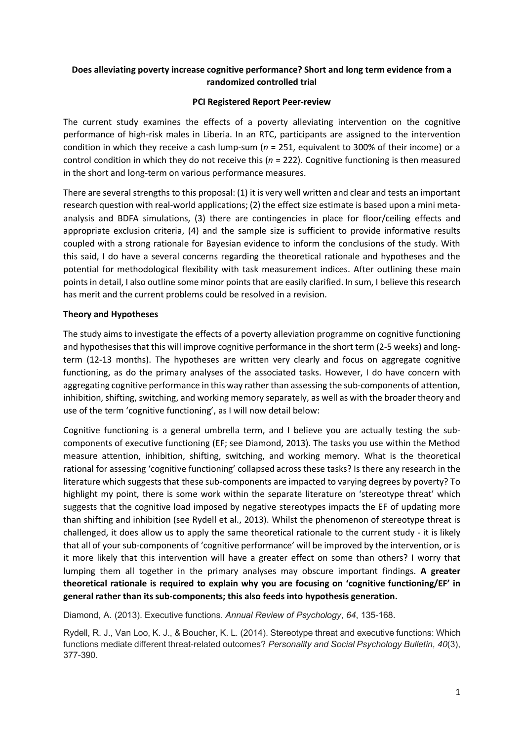# **Does alleviating poverty increase cognitive performance? Short and long term evidence from a randomized controlled trial**

# **PCI Registered Report Peer-review**

The current study examines the effects of a poverty alleviating intervention on the cognitive performance of high-risk males in Liberia. In an RTC, participants are assigned to the intervention condition in which they receive a cash lump-sum (*n* = 251, equivalent to 300% of their income) or a control condition in which they do not receive this (*n* = 222). Cognitive functioning is then measured in the short and long-term on various performance measures.

There are several strengths to this proposal: (1) it is very well written and clear and tests an important research question with real-world applications; (2) the effect size estimate is based upon a mini metaanalysis and BDFA simulations, (3) there are contingencies in place for floor/ceiling effects and appropriate exclusion criteria, (4) and the sample size is sufficient to provide informative results coupled with a strong rationale for Bayesian evidence to inform the conclusions of the study. With this said, I do have a several concerns regarding the theoretical rationale and hypotheses and the potential for methodological flexibility with task measurement indices. After outlining these main points in detail, I also outline some minor points that are easily clarified. In sum, I believe this research has merit and the current problems could be resolved in a revision.

# **Theory and Hypotheses**

The study aims to investigate the effects of a poverty alleviation programme on cognitive functioning and hypothesises that this will improve cognitive performance in the short term (2-5 weeks) and longterm (12-13 months). The hypotheses are written very clearly and focus on aggregate cognitive functioning, as do the primary analyses of the associated tasks. However, I do have concern with aggregating cognitive performance in this way rather than assessing the sub-components of attention, inhibition, shifting, switching, and working memory separately, as well as with the broader theory and use of the term 'cognitive functioning', as I will now detail below:

Cognitive functioning is a general umbrella term, and I believe you are actually testing the subcomponents of executive functioning (EF; see Diamond, 2013). The tasks you use within the Method measure attention, inhibition, shifting, switching, and working memory. What is the theoretical rational for assessing 'cognitive functioning' collapsed across these tasks? Is there any research in the literature which suggests that these sub-components are impacted to varying degrees by poverty? To highlight my point, there is some work within the separate literature on 'stereotype threat' which suggests that the cognitive load imposed by negative stereotypes impacts the EF of updating more than shifting and inhibition (see Rydell et al., 2013). Whilst the phenomenon of stereotype threat is challenged, it does allow us to apply the same theoretical rationale to the current study - it is likely that all of your sub-components of 'cognitive performance' will be improved by the intervention, or is it more likely that this intervention will have a greater effect on some than others? I worry that lumping them all together in the primary analyses may obscure important findings. **A greater theoretical rationale is required to explain why you are focusing on 'cognitive functioning/EF' in general rather than its sub-components; this also feeds into hypothesis generation.** 

Diamond, A. (2013). Executive functions. *Annual Review of Psychology*, *64*, 135-168.

Rydell, R. J., Van Loo, K. J., & Boucher, K. L. (2014). Stereotype threat and executive functions: Which functions mediate different threat-related outcomes? *Personality and Social Psychology Bulletin*, *40*(3), 377-390.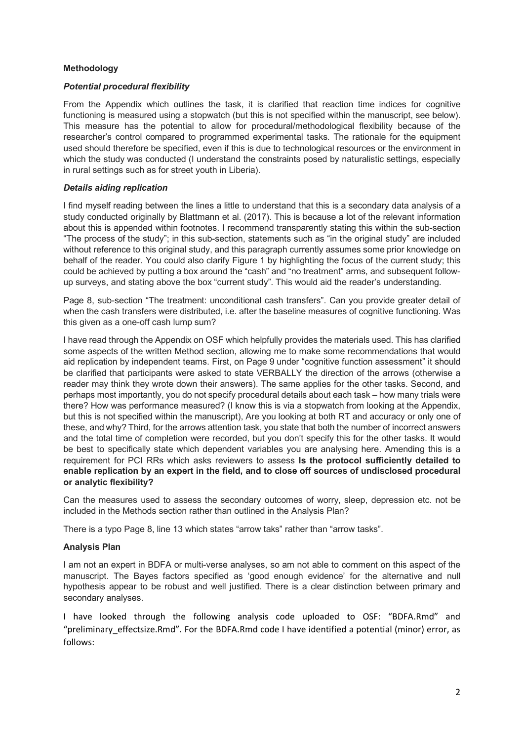#### **Methodology**

### *Potential procedural flexibility*

From the Appendix which outlines the task, it is clarified that reaction time indices for cognitive functioning is measured using a stopwatch (but this is not specified within the manuscript, see below). This measure has the potential to allow for procedural/methodological flexibility because of the researcher's control compared to programmed experimental tasks. The rationale for the equipment used should therefore be specified, even if this is due to technological resources or the environment in which the study was conducted (I understand the constraints posed by naturalistic settings, especially in rural settings such as for street youth in Liberia).

# *Details aiding replication*

I find myself reading between the lines a little to understand that this is a secondary data analysis of a study conducted originally by Blattmann et al. (2017). This is because a lot of the relevant information about this is appended within footnotes. I recommend transparently stating this within the sub-section "The process of the study"; in this sub-section, statements such as "in the original study" are included without reference to this original study, and this paragraph currently assumes some prior knowledge on behalf of the reader. You could also clarify Figure 1 by highlighting the focus of the current study; this could be achieved by putting a box around the "cash" and "no treatment" arms, and subsequent followup surveys, and stating above the box "current study". This would aid the reader's understanding.

Page 8, sub-section "The treatment: unconditional cash transfers". Can you provide greater detail of when the cash transfers were distributed, i.e. after the baseline measures of cognitive functioning. Was this given as a one-off cash lump sum?

I have read through the Appendix on OSF which helpfully provides the materials used. This has clarified some aspects of the written Method section, allowing me to make some recommendations that would aid replication by independent teams. First, on Page 9 under "cognitive function assessment" it should be clarified that participants were asked to state VERBALLY the direction of the arrows (otherwise a reader may think they wrote down their answers). The same applies for the other tasks. Second, and perhaps most importantly, you do not specify procedural details about each task – how many trials were there? How was performance measured? (I know this is via a stopwatch from looking at the Appendix, but this is not specified within the manuscript), Are you looking at both RT and accuracy or only one of these, and why? Third, for the arrows attention task, you state that both the number of incorrect answers and the total time of completion were recorded, but you don't specify this for the other tasks. It would be best to specifically state which dependent variables you are analysing here. Amending this is a requirement for PCI RRs which asks reviewers to assess **Is the protocol sufficiently detailed to enable replication by an expert in the field, and to close off sources of undisclosed procedural or analytic flexibility?**

Can the measures used to assess the secondary outcomes of worry, sleep, depression etc. not be included in the Methods section rather than outlined in the Analysis Plan?

There is a typo Page 8, line 13 which states "arrow taks" rather than "arrow tasks".

# **Analysis Plan**

I am not an expert in BDFA or multi-verse analyses, so am not able to comment on this aspect of the manuscript. The Bayes factors specified as 'good enough evidence' for the alternative and null hypothesis appear to be robust and well justified. There is a clear distinction between primary and secondary analyses.

I have looked through the following analysis code uploaded to OSF: "BDFA.Rmd" and "preliminary effectsize.Rmd". For the BDFA.Rmd code I have identified a potential (minor) error, as follows: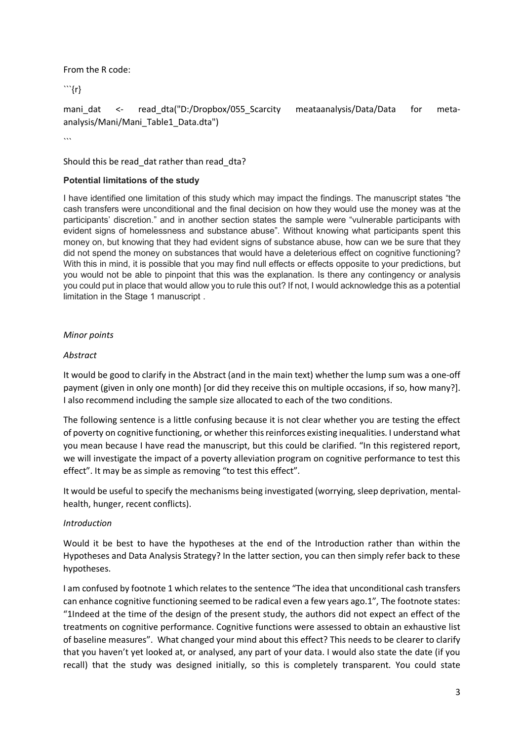From the R code:

```{r}

```
mani_dat <- read_dta("D:/Dropbox/055_Scarcity meataanalysis/Data/Data for meta-
analysis/Mani/Mani_Table1_Data.dta")
```
 $\ddot{\phantom{a}}$ 

Should this be read dat rather than read dta?

# **Potential limitations of the study**

I have identified one limitation of this study which may impact the findings. The manuscript states "the cash transfers were unconditional and the final decision on how they would use the money was at the participants' discretion." and in another section states the sample were "vulnerable participants with evident signs of homelessness and substance abuse". Without knowing what participants spent this money on, but knowing that they had evident signs of substance abuse, how can we be sure that they did not spend the money on substances that would have a deleterious effect on cognitive functioning? With this in mind, it is possible that you may find null effects or effects opposite to your predictions, but you would not be able to pinpoint that this was the explanation. Is there any contingency or analysis you could put in place that would allow you to rule this out? If not, I would acknowledge this as a potential limitation in the Stage 1 manuscript .

# *Minor points*

# *Abstract*

It would be good to clarify in the Abstract (and in the main text) whether the lump sum was a one-off payment (given in only one month) [or did they receive this on multiple occasions, if so, how many?]. I also recommend including the sample size allocated to each of the two conditions.

The following sentence is a little confusing because it is not clear whether you are testing the effect of poverty on cognitive functioning, or whether this reinforces existing inequalities. I understand what you mean because I have read the manuscript, but this could be clarified. "In this registered report, we will investigate the impact of a poverty alleviation program on cognitive performance to test this effect". It may be as simple as removing "to test this effect".

It would be useful to specify the mechanisms being investigated (worrying, sleep deprivation, mentalhealth, hunger, recent conflicts).

#### *Introduction*

Would it be best to have the hypotheses at the end of the Introduction rather than within the Hypotheses and Data Analysis Strategy? In the latter section, you can then simply refer back to these hypotheses.

I am confused by footnote 1 which relates to the sentence "The idea that unconditional cash transfers can enhance cognitive functioning seemed to be radical even a few years ago.1", The footnote states: "1Indeed at the time of the design of the present study, the authors did not expect an effect of the treatments on cognitive performance. Cognitive functions were assessed to obtain an exhaustive list of baseline measures". What changed your mind about this effect? This needs to be clearer to clarify that you haven't yet looked at, or analysed, any part of your data. I would also state the date (if you recall) that the study was designed initially, so this is completely transparent. You could state